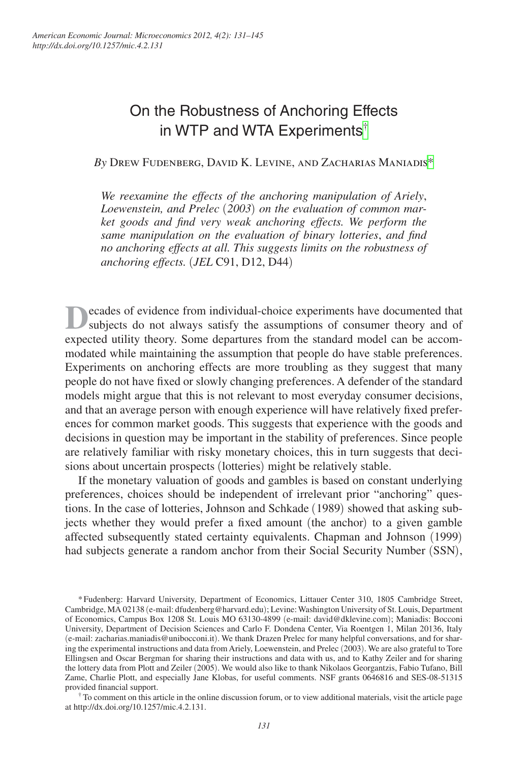# On the Robustness of Anchoring Effects in WTP and WTA Experiments[†](#page-0-0)

*By* Drew Fudenberg, David K. Levine, and Zacharias Maniadis[\\*](#page-0-1)

*We reexamine the effects of the anchoring manipulation of Ariely*, *Loewenstein, and Prelec* (*2003*) *on the evaluation of common market goods and find very weak anchoring effects. We perform the same manipulation on the evaluation of binary lotteries*, *and find no anchoring effects at all. This suggests limits on the robustness of anchoring effects.* (*JEL* C91, D12, D44)

**D**ecades of evidence from individual-choice experiments have documented that subjects do not always satisfy the assumptions of consumer theory and of expected utility theory. Some departures from the standard model can be accommodated while maintaining the assumption that people do have stable preferences. Experiments on anchoring effects are more troubling as they suggest that many people do not have fixed or slowly changing preferences. A defender of the standard models might argue that this is not relevant to most everyday consumer decisions, and that an average person with enough experience will have relatively fixed preferences for common market goods. This suggests that experience with the goods and decisions in question may be important in the stability of preferences. Since people are relatively familiar with risky monetary choices, this in turn suggests that decisions about uncertain prospects (lotteries) might be relatively stable.

If the monetary valuation of goods and gambles is based on constant underlying preferences, choices should be independent of irrelevant prior "anchoring" questions. In the case of lotteries, Johnson and Schkade (1989) showed that asking subjects whether they would prefer a fixed amount (the anchor) to a given gamble affected subsequently stated certainty equivalents. Chapman and Johnson (1999) had subjects generate a random anchor from their Social Security Number (SSN),

<span id="page-0-0"></span>at <http://dx.doi.org/10.1257/mic.4.2.131>.

<span id="page-0-1"></span><sup>\*</sup>Fudenberg: Harvard University, Department of Economics, Littauer Center 310, 1805 Cambridge Street, Cambridge, MA 02138 (e-mail: dfudenberg@harvard.edu); Levine: Washington University of St. Louis, Department of Economics, Campus Box 1208 St. Louis MO 63130-4899 (e-mail: [david@dklevine.com](mailto:david@dklevine.com)); Maniadis: Bocconi University, Department of Decision Sciences and Carlo F. Dondena Center, Via Roentgen 1, Milan 20136, Italy (e-mail: zacharias.maniadis@unibocconi.it). We thank Drazen Prelec for many helpful conversations, and for sharing the experimental instructions and data from Ariely, Loewenstein, and Prelec (2003). We are also grateful to Tore Ellingsen and Oscar Bergman for sharing their instructions and data with us, and to Kathy Zeiler and for sharing the lottery data from Plott and Zeiler (2005). We would also like to thank Nikolaos Georgantzis, Fabio Tufano, Bill Zame, Charlie Plott, and especially Jane Klobas, for useful comments. NSF grants 0646816 and SES-08-51315 provided financial support.<br>† To comment on this article in the online discussion forum, or to view additional materials, visit the article page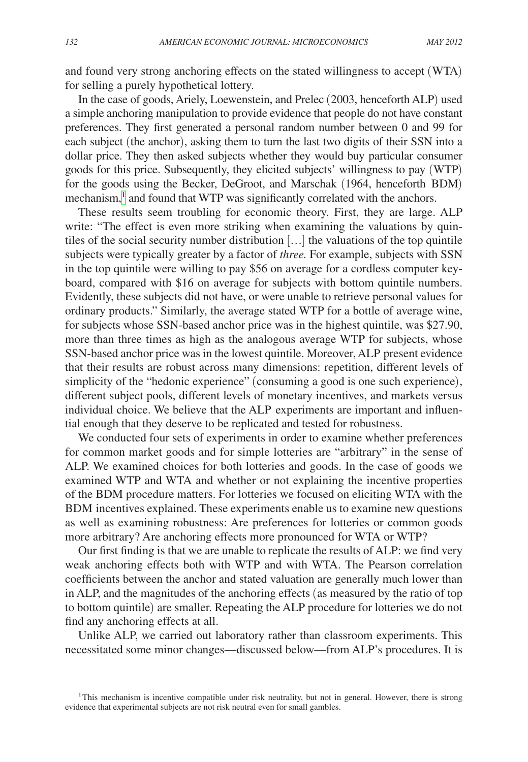and found very strong anchoring effects on the stated willingness to accept (WTA) for selling a purely hypothetical lottery.

In the case of goods, Ariely, Loewenstein, and Prelec (2003, henceforth ALP) used a simple anchoring manipulation to provide evidence that people do not have constant preferences. They first generated a personal random number between 0 and 99 for each subject (the anchor), asking them to turn the last two digits of their SSN into a dollar price. They then asked subjects whether they would buy particular consumer goods for this price. Subsequently, they elicited subjects' willingness to pay (WTP) for the goods using the Becker, DeGroot, and Marschak (1964, henceforth BDM) mechanism,<sup>[1](#page-1-0)</sup> and found that WTP was significantly correlated with the anchors.

These results seem troubling for economic theory. First, they are large. ALP write: "The effect is even more striking when examining the valuations by quintiles of the social security number distribution […] the valuations of the top quintile subjects were typically greater by a factor of *three.* For example, subjects with SSN in the top quintile were willing to pay \$56 on average for a cordless computer keyboard, compared with \$16 on average for subjects with bottom quintile numbers. Evidently, these subjects did not have, or were unable to retrieve personal values for ordinary products." Similarly, the average stated WTP for a bottle of average wine, for subjects whose SSN-based anchor price was in the highest quintile, was \$27.90, more than three times as high as the analogous average WTP for subjects, whose SSN-based anchor price was in the lowest quintile. Moreover, ALP present evidence that their results are robust across many dimensions: repetition, different levels of simplicity of the "hedonic experience" (consuming a good is one such experience), different subject pools, different levels of monetary incentives, and markets versus individual choice. We believe that the ALP experiments are important and influential enough that they deserve to be replicated and tested for robustness.

We conducted four sets of experiments in order to examine whether preferences for common market goods and for simple lotteries are "arbitrary" in the sense of ALP. We examined choices for both lotteries and goods. In the case of goods we examined WTP and WTA and whether or not explaining the incentive properties of the BDM procedure matters. For lotteries we focused on eliciting WTA with the BDM incentives explained. These experiments enable us to examine new questions as well as examining robustness: Are preferences for lotteries or common goods more arbitrary? Are anchoring effects more pronounced for WTA or WTP?

Our first finding is that we are unable to replicate the results of ALP: we find very weak anchoring effects both with WTP and with WTA. The Pearson correlation coefficients between the anchor and stated valuation are generally much lower than in ALP, and the magnitudes of the anchoring effects (as measured by the ratio of top to bottom quintile) are smaller. Repeating the ALP procedure for lotteries we do not find any anchoring effects at all.

Unlike ALP, we carried out laboratory rather than classroom experiments. This necessitated some minor changes—discussed below—from ALP's procedures. It is

<span id="page-1-0"></span><sup>1</sup>This mechanism is incentive compatible under risk neutrality, but not in general. However, there is strong evidence that experimental subjects are not risk neutral even for small gambles.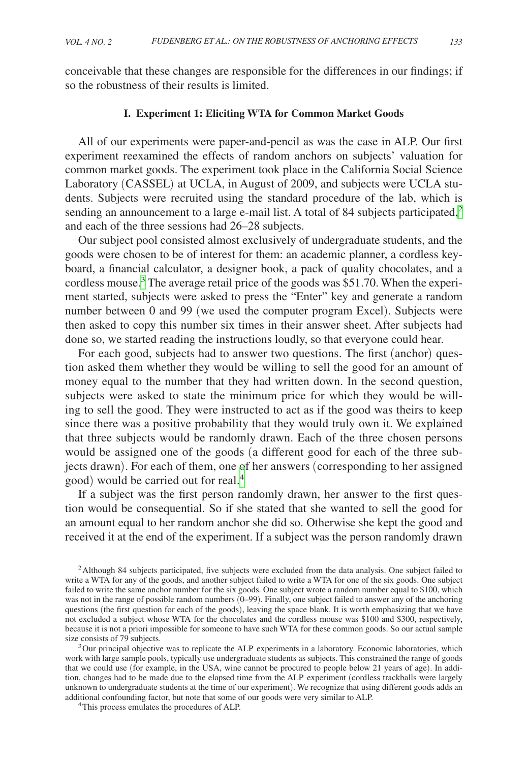<span id="page-2-0"></span>conceivable that these changes are responsible for the differences in our findings; if so the robustness of their results is limited.

#### **I. Experiment 1: Eliciting WTA for Common Market Goods**

All of our experiments were paper-and-pencil as was the case in ALP. Our first experiment reexamined the effects of random anchors on subjects' valuation for common market goods. The experiment took place in the California Social Science Laboratory (CASSEL) at UCLA, in August of 2009, and subjects were UCLA students. Subjects were recruited using the standard procedure of the lab, which is sending an announcement to a large e-mail list. A total of 84 subjects participated, $2$ and each of the three sessions had 26–28 subjects.

Our subject pool consisted almost exclusively of undergraduate students, and the goods were chosen to be of interest for them: an academic planner, a cordless keyboard, a financial calculator, a designer book, a pack of quality chocolates, and a cordless mouse.<sup>[3](#page-2-2)</sup> The average retail price of the goods was \$51.70. When the experiment started, subjects were asked to press the "Enter" key and generate a random number between 0 and 99 (we used the computer program Excel). Subjects were then asked to copy this number six times in their answer sheet. After subjects had done so, we started reading the instructions loudly, so that everyone could hear.

For each good, subjects had to answer two questions. The first (anchor) question asked them whether they would be willing to sell the good for an amount of money equal to the number that they had written down. In the second question, subjects were asked to state the minimum price for which they would be willing to sell the good. They were instructed to act as if the good was theirs to keep since there was a positive probability that they would truly own it. We explained that three subjects would be randomly drawn. Each of the three chosen persons would be assigned one of the goods (a different good for each of the three subjects drawn). For each of them, one of her answers (corresponding to her assigned good) would be carried out for real.[4](#page-2-3)

If a subject was the first person randomly drawn, her answer to the first question would be consequential. So if she stated that she wanted to sell the good for an amount equal to her random anchor she did so. Otherwise she kept the good and received it at the end of the experiment. If a subject was the person randomly drawn

<span id="page-2-1"></span><sup>2</sup>Although 84 subjects participated, five subjects were excluded from the data analysis. One subject failed to write a WTA for any of the goods, and another subject failed to write a WTA for one of the six goods. One subject failed to write the same anchor number for the six goods. One subject wrote a random number equal to \$100, which was not in the range of possible random numbers (0–99). Finally, one subject failed to answer any of the anchoring questions (the first question for each of the goods), leaving the space blank. It is worth emphasizing that we have not excluded a subject whose WTA for the chocolates and the cordless mouse was \$100 and \$300, respectively, because it is not a priori impossible for someone to have such WTA for these common goods. So our actual sample

<span id="page-2-2"></span> $3$  Our principal objective was to replicate the ALP experiments in a laboratory. Economic laboratories, which work with large sample pools, typically use undergraduate students as subjects. This constrained the range of goods that we could use (for example, in the USA, wine cannot be procured to people below 21 years of age). In addition, changes had to be made due to the elapsed time from the ALP experiment (cordless trackballs were largely unknown to undergraduate students at the time of our experiment). We recognize that using different goods adds an additional confounding factor, but note that some of our goods were very similar to ALP. 4This process emulates the procedures of ALP.

<span id="page-2-3"></span>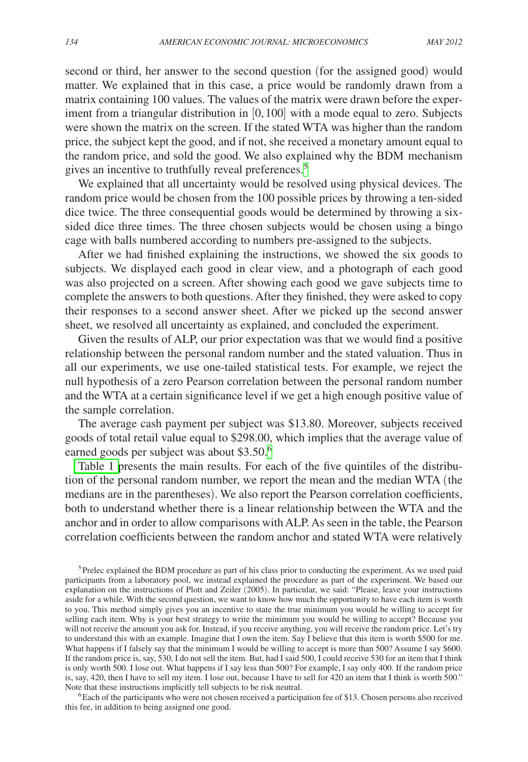second or third, her answer to the second question (for the assigned good) would matter. We explained that in this case, a price would be randomly drawn from a matrix containing 100 values. The values of the matrix were drawn before the experiment from a triangular distribution in [0, 100] with a mode equal to zero. Subjects were shown the matrix on the screen. If the stated WTA was higher than the random price, the subject kept the good, and if not, she received a monetary amount equal to the random price, and sold the good. We also explained why the BDM mechanism gives an incentive to truthfully reveal preferences.<sup>[5](#page-3-0)</sup>

We explained that all uncertainty would be resolved using physical devices. The random price would be chosen from the 100 possible prices by throwing a ten-sided dice twice. The three consequential goods would be determined by throwing a sixsided dice three times. The three chosen subjects would be chosen using a bingo cage with balls numbered according to numbers pre-assigned to the subjects.

After we had finished explaining the instructions, we showed the six goods to subjects. We displayed each good in clear view, and a photograph of each good was also projected on a screen. After showing each good we gave subjects time to complete the answers to both questions. After they finished, they were asked to copy their responses to a second answer sheet. After we picked up the second answer sheet, we resolved all uncertainty as explained, and concluded the experiment.

Given the results of ALP, our prior expectation was that we would find a positive relationship between the personal random number and the stated valuation. Thus in all our experiments, we use one-tailed statistical tests. For example, we reject the null hypothesis of a zero Pearson correlation between the personal random number and the WTA at a certain significance level if we get a high enough positive value of the sample correlation.

The average cash payment per subject was \$13.80. Moreover, subjects received goods of total retail value equal to \$298.00, which implies that the average value of earned goods per subject was about \$3.50[.6](#page-3-1)

[Table 1 p](#page-4-0)resents the main results. For each of the five quintiles of the distribution of the personal random number, we report the mean and the median WTA (the medians are in the parentheses). We also report the Pearson correlation coefficients, both to understand whether there is a linear relationship between the WTA and the anchor and in order to allow comparisons with ALP. As seen in the table, the Pearson correlation coefficients between the random anchor and stated WTA were relatively

<span id="page-3-1"></span>this fee, in addition to being assigned one good.

<span id="page-3-0"></span><sup>&</sup>lt;sup>5</sup>Prelec explained the BDM procedure as part of his class prior to conducting the experiment. As we used paid participants from a laboratory pool, we instead explained the procedure as part of the experiment. We based our explanation on the instructions of Plott and Zeiler (2005). In particular, we said: "Please, leave your instructions aside for a while. With the second question, we want to know how much the opportunity to have each item is worth to you. This method simply gives you an incentive to state the true minimum you would be willing to accept for selling each item. Why is your best strategy to write the minimum you would be willing to accept? Because you will not receive the amount you ask for. Instead, if you receive anything, you will receive the random price. Let's try to understand this with an example. Imagine that I own the item. Say I believe that this item is worth \$500 for me. What happens if I falsely say that the minimum I would be willing to accept is more than 500? Assume I say \$600. If the random price is, say, 530, I do not sell the item. But, had I said 500, I could receive 530 for an item that I think is only worth 500. I lose out. What happens if I say less than 500? For example, I say only 400. If the random price is, say, 420, then I have to sell my item. I lose out, because I have to sell for 420 an item that I think is worth 500." Note that these instructions implicitly tell subjects to be risk neutral.<br><sup>6</sup>Each of the participants who were not chosen received a participation fee of \$13. Chosen persons also received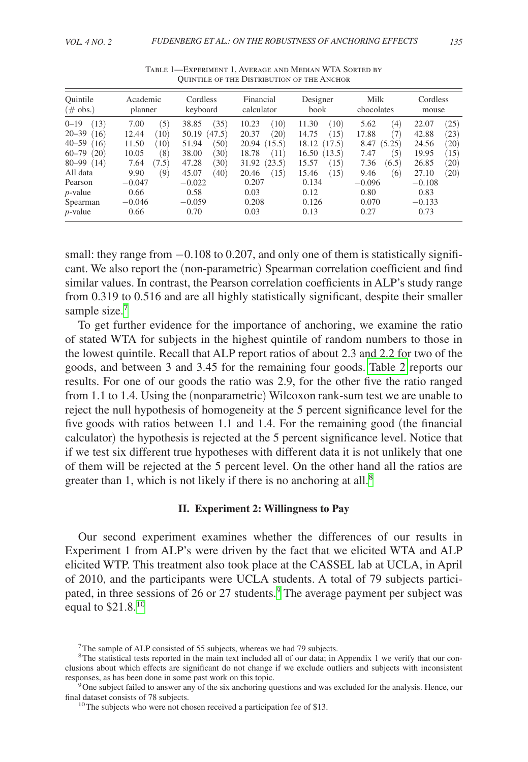<span id="page-4-0"></span>

| Ouintile           | Academic          | Cordless | Financial  | Designer | Milk              | Cordless |
|--------------------|-------------------|----------|------------|----------|-------------------|----------|
| $(\text{\# obs.})$ | planner           | keyboard | calculator | book     | chocolates        | mouse    |
| $0 - 19$           | (5)               | (35)     | (10)       | 11.30    | $\left( 4\right)$ | (25)     |
| (13)               | 7.00              | 38.85    | 10.23      | (10)     | 5.62              | 22.07    |
| $20 - 39$          | (10)              | (47.5)   | $^{(20)}$  | (15)     | 7)                | (23)     |
| (16)               | 12.44             | 50.19    | 20.37      | 14.75    | 17.88             | 42.88    |
| $40 - 59$          | 11.50             | (50)     | (15.5)     | 18.12    | (5.25)            | (20)     |
| (16)               | (10)              | 51.94    | 20.94      | (17.5)   | 8.47              | 24.56    |
| $60 - 79$          | (8)               | (30)     | 18.78      | 16.50    | (5)               | (15)     |
| (20)               | 10.05             | 38.00    | (11)       | (13.5)   | 7.47              | 19.95    |
| 80-99              | (7.5)             | (30)     | (23.5)     | 15.57    | (6.5)             | (20)     |
| (14)               | 7.64              | 47.28    | 31.92      | (15)     | 7.36              | 26.85    |
| All data           | $\left( 9\right)$ | 45.07    | (15)       | (15)     | (6)               | (20)     |
|                    | 9.90              | (40)     | 20.46      | 15.46    | 9.46              | 27.10    |
| Pearson            | $-0.047$          | $-0.022$ | 0.207      | 0.134    | $-0.096$          | $-0.108$ |
| $p$ -value         | 0.66              | 0.58     | 0.03       | 0.12     | 0.80              | 0.83     |
| Spearman           | $-0.046$          | $-0.059$ | 0.208      | 0.126    | 0.070             | $-0.133$ |
| $p$ -value         | 0.66              | 0.70     | 0.03       | 0.13     | 0.27              | 0.73     |

Table 1—Experiment 1, Average and Median WTA Sorted by Quintile of the Distribution of the Anchor

small: they range from  $-0.108$  to 0.207, and only one of them is statistically significant. We also report the (non-parametric) Spearman correlation coefficient and find similar values. In contrast, the Pearson correlation coefficients in ALP's study range from 0.319 to 0.516 and are all highly statistically significant, despite their smaller sample size.<sup>[7](#page-4-1)</sup>

To get further evidence for the importance of anchoring, we examine the ratio of stated WTA for subjects in the highest quintile of random numbers to those in the lowest quintile. Recall that ALP report ratios of about 2.3 and 2.2 for two of the goods, and between 3 and 3.45 for the remaining four goods. [Table 2](#page-5-0) reports our results. For one of our goods the ratio was 2.9, for the other five the ratio ranged from 1.1 to 1.4. Using the (nonparametric) Wilcoxon rank-sum test we are unable to reject the null hypothesis of homogeneity at the 5 percent significance level for the five goods with ratios between 1.1 and 1.4. For the remaining good (the financial calculator) the hypothesis is rejected at the 5 percent significance level. Notice that if we test six different true hypotheses with different data it is not unlikely that one of them will be rejected at the 5 percent level. On the other hand all the ratios are greater than 1, which is not likely if there is no anchoring at all.<sup>8</sup>

#### **II. Experiment 2: Willingness to Pay**

Our second experiment examines whether the differences of our results in Experiment 1 from ALP's were driven by the fact that we elicited WTA and ALP elicited WTP. This treatment also took place at the CASSEL lab at UCLA, in April of 2010, and the participants were UCLA students. A total of 79 subjects participated, in three sessions of 26 or 27 students.<sup>9</sup> The average payment per subject was equal to \$21.8.[10](#page-4-4)

<span id="page-4-2"></span><span id="page-4-1"></span> $7$ The sample of ALP consisted of 55 subjects, whereas we had 79 subjects.

<sup>&</sup>lt;sup>8</sup>The statistical tests reported in the main text included all of our data; in Appendix 1 we verify that our conclusions about which effects are significant do not change if we exclude outliers and subjects with inconsistent

responses, as has been done in some past work on this topic.<br><sup>9</sup>One subject failed to answer any of the six anchoring questions and was excluded for the analysis. Hence, our final dataset consists of 78 subjects.

<span id="page-4-4"></span><span id="page-4-3"></span> $^{10}$ The subjects who were not chosen received a participation fee of \$13.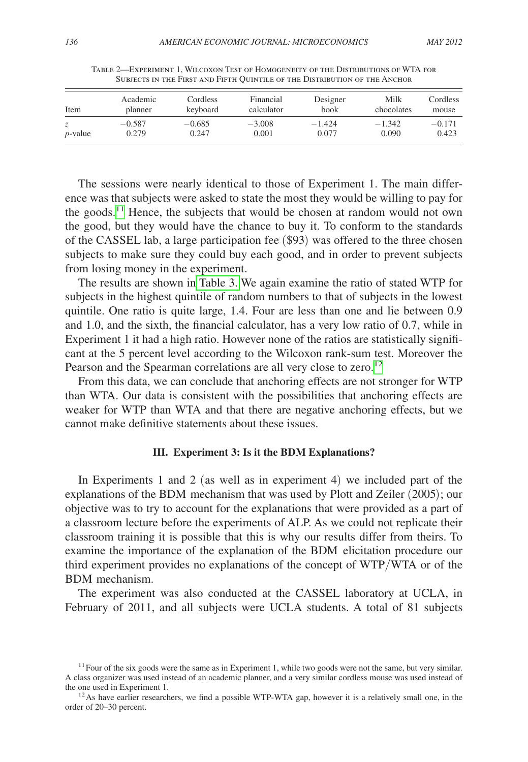<span id="page-5-0"></span>

| Item       | Academic | Cordless | Financial  | Designer | Milk       | Cordless |
|------------|----------|----------|------------|----------|------------|----------|
|            | planner  | keyboard | calculator | book     | chocolates | mouse    |
| $p$ -value | $-0.587$ | $-0.685$ | $-3.008$   | $-1.424$ | $-1.342$   | $-0.171$ |
|            | 0.279    | 0.247    | 0.001      | 0.077    | 0.090      | 0.423    |

Table 2—Experiment 1, Wilcoxon Test of Homogeneity of the Distributions of WTA for Subjects in the First and Fifth Quintile of the Distribution of the Anchor

The sessions were nearly identical to those of Experiment 1. The main difference was that subjects were asked to state the most they would be willing to pay for the goods.[11](#page-5-1) Hence, the subjects that would be chosen at random would not own the good, but they would have the chance to buy it. To conform to the standards of the CASSEL lab, a large participation fee (\$93) was offered to the three chosen subjects to make sure they could buy each good, and in order to prevent subjects from losing money in the experiment.

The results are shown in [Table 3.](#page-6-0) We again examine the ratio of stated WTP for subjects in the highest quintile of random numbers to that of subjects in the lowest quintile. One ratio is quite large, 1.4. Four are less than one and lie between 0.9 and 1.0, and the sixth, the financial calculator, has a very low ratio of 0.7, while in Experiment 1 it had a high ratio. However none of the ratios are statistically significant at the 5 percent level according to the Wilcoxon rank-sum test. Moreover the Pearson and the Spearman correlations are all very close to zero.<sup>[12](#page-5-2)</sup>

From this data, we can conclude that anchoring effects are not stronger for WTP than WTA. Our data is consistent with the possibilities that anchoring effects are weaker for WTP than WTA and that there are negative anchoring effects, but we cannot make definitive statements about these issues.

#### **III. Experiment 3: Is it the BDM Explanations?**

In Experiments 1 and 2 (as well as in experiment 4) we included part of the explanations of the BDM mechanism that was used by Plott and Zeiler (2005); our objective was to try to account for the explanations that were provided as a part of a classroom lecture before the experiments of ALP. As we could not replicate their classroom training it is possible that this is why our results differ from theirs. To examine the importance of the explanation of the BDM elicitation procedure our third experiment provides no explanations of the concept of WTP/WTA or of the BDM mechanism.

The experiment was also conducted at the CASSEL laboratory at UCLA, in February of 2011, and all subjects were UCLA students. A total of 81 subjects

<span id="page-5-1"></span> $11$  Four of the six goods were the same as in Experiment 1, while two goods were not the same, but very similar. A class organizer was used instead of an academic planner, and a very similar cordless mouse was used instead of the one used in Experiment 1.<br><sup>12</sup>As have earlier researchers, we find a possible WTP-WTA gap, however it is a relatively small one, in the

<span id="page-5-2"></span>order of 20–30 percent.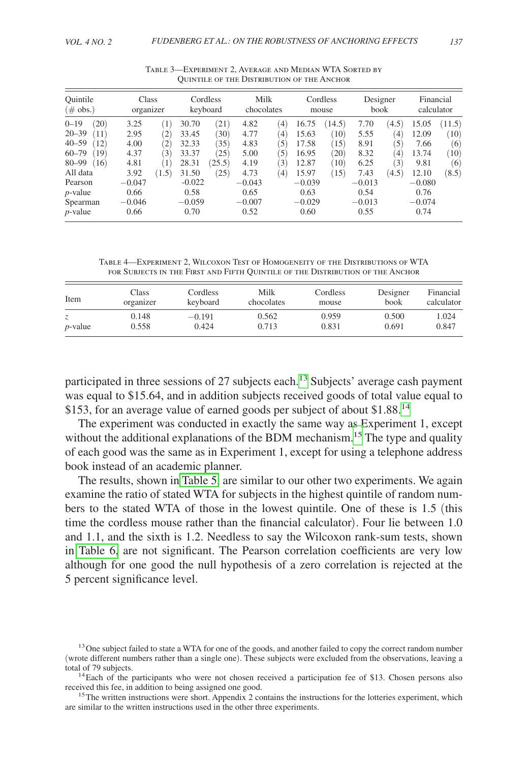<span id="page-6-0"></span>

| Ouintile<br>$(\text{\# obs.})$                                                                       | Class<br>organizer                           |                                                                                          |                                               | Cordless<br>keyboard                 | Milk<br>chocolates                           |                                                              |                                               | Cordless<br>mouse                           | Designer<br>book                             |                                                     | Financial<br>calculator                       |                                      |
|------------------------------------------------------------------------------------------------------|----------------------------------------------|------------------------------------------------------------------------------------------|-----------------------------------------------|--------------------------------------|----------------------------------------------|--------------------------------------------------------------|-----------------------------------------------|---------------------------------------------|----------------------------------------------|-----------------------------------------------------|-----------------------------------------------|--------------------------------------|
| $0 - 19$<br>(20)<br>$20 - 39$<br>(11)<br>$40 - 59$<br>(12)<br>$60 - 79$<br>(19)<br>$80 - 99$<br>(16) | 3.25<br>2.95<br>4.00<br>4.37<br>4.81         | $1^{\circ}$<br>$^{^{\prime }2)}$<br>$\left( 2\right)$<br>$\mathfrak{B}$ )<br>$1^{\circ}$ | 30.70<br>33.45<br>32.33<br>33.37<br>28.31     | (21)<br>30)<br>35)<br>(25)<br>(25.5) | 4.82<br>4.77<br>4.83<br>5.00<br>4.19         | $\left( 4\right)$<br>$^{(4)}$<br>(5)<br>(5)<br>$\mathcal{E}$ | 16.75<br>15.63<br>17.58<br>16.95<br>12.87     | (14.5)<br>(10)<br>(15)<br>$^{(20)}$<br>(10) | 7.70<br>5.55<br>8.91<br>8.32<br>6.25         | (4.5)<br>$\left(4\right)$<br>(5)<br>$^{(4)}$<br>(3) | 15.05<br>12.09<br>7.66<br>13.74<br>9.81       | (11.5)<br>(10)<br>(6)<br>(10)<br>(6) |
| All data<br>Pearson<br>$p$ -value<br>Spearman<br>$p$ -value                                          | 3.92<br>$-0.047$<br>0.66<br>$-0.046$<br>0.66 | (1.5)                                                                                    | 31.50<br>$-0.022$<br>0.58<br>$-0.059$<br>0.70 | (25)                                 | 4.73<br>$-0.043$<br>0.65<br>$-0.007$<br>0.52 | $^{(4)}$                                                     | 15.97<br>$-0.039$<br>0.63<br>$-0.029$<br>0.60 | 15)                                         | 7.43<br>$-0.013$<br>0.54<br>$-0.013$<br>0.55 | (4.5)                                               | 12.10<br>$-0.080$<br>0.76<br>$-0.074$<br>0.74 | (8.5)                                |

Table 3—Experiment 2, Average and Median WTA Sorted by Quintile of the Distribution of the Anchor

Table 4—Experiment 2, Wilcoxon Test of Homogeneity of the Distributions of WTA for Subjects in the First and Fifth Quintile of the Distribution of the Anchor

| Item       | Class     | Cordless | Milk       | Cordless | Designer | Financial  |
|------------|-----------|----------|------------|----------|----------|------------|
|            | organizer | keyboard | chocolates | mouse    | book     | calculator |
| $p$ -value | 0.148     | $-0.191$ | 0.562      | 0.959    | 0.500    | 1.024      |
|            | 0.558     | 0.424    | 0.713      | 0.831    | 0.691    | 0.847      |

participated in three sessions of 27 subjects each.<sup>[13](#page-6-1)</sup> Subjects' average cash payment was equal to \$15.64, and in addition subjects received goods of total value equal to \$153, for an average value of earned goods per subject of about \$1.88.<sup>14</sup>

The experiment was conducted in exactly the same way as Experiment 1, except without the additional explanations of the BDM mechanism.<sup>15</sup> The type and quality of each good was the same as in Experiment 1, except for using a telephone address book instead of an academic planner.

The results, shown in [Table 5,](#page-7-0) are similar to our other two experiments. We again examine the ratio of stated WTA for subjects in the highest quintile of random numbers to the stated WTA of those in the lowest quintile. One of these is 1.5 (this time the cordless mouse rather than the financial calculator). Four lie between 1.0 and 1.1, and the sixth is 1.2. Needless to say the Wilcoxon rank-sum tests, shown in [Table 6,](#page-7-0) are not significant. The Pearson correlation coefficients are very low although for one good the null hypothesis of a zero correlation is rejected at the 5 percent significance level.

<span id="page-6-1"></span><sup>&</sup>lt;sup>13</sup>One subject failed to state a WTA for one of the goods, and another failed to copy the correct random number (wrote different numbers rather than a single one). These subjects were excluded from the observations, leaving a

<span id="page-6-2"></span> $14$ Each of the participants who were not chosen received a participation fee of \$13. Chosen persons also received this fee, in addition to being assigned one good.<br><sup>15</sup>The written instructions were short. Appendix 2 contains the instructions for the lotteries experiment, which

<span id="page-6-3"></span>are similar to the written instructions used in the other three experiments.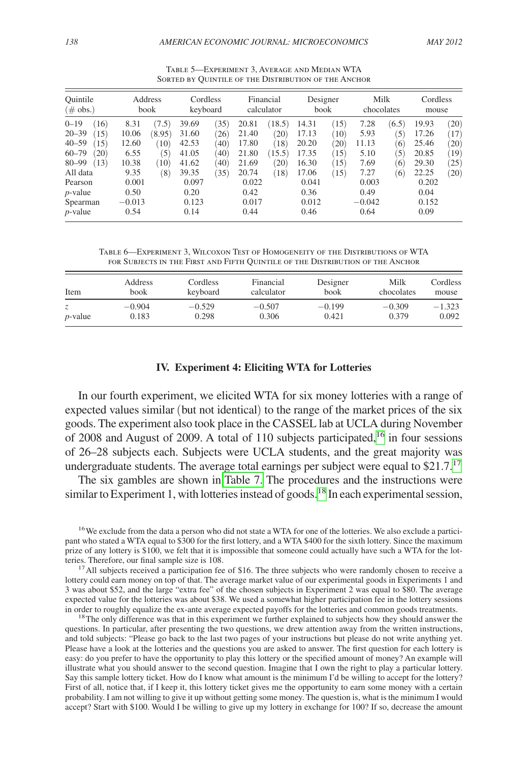<span id="page-7-0"></span>

| Ouintile<br>$(\text{\# obs.})$                                                                                              |                                                          | Address<br>book                               | Cordless<br>keyboard                                        |                                             |                                                             | Financial<br>calculator                          | Designer<br><b>book</b>                                     |                                              | Milk<br>chocolates                                     |                                          | Cordless<br>mouse                                           |                                                   |
|-----------------------------------------------------------------------------------------------------------------------------|----------------------------------------------------------|-----------------------------------------------|-------------------------------------------------------------|---------------------------------------------|-------------------------------------------------------------|--------------------------------------------------|-------------------------------------------------------------|----------------------------------------------|--------------------------------------------------------|------------------------------------------|-------------------------------------------------------------|---------------------------------------------------|
| $0 - 19$<br>(16)<br>$20 - 39$<br>(15)<br>$40 - 59$<br>(15)<br>$60 - 79$<br>(20)<br>$80 - 99$<br>(13)<br>All data<br>Pearson | 8.31<br>10.06<br>12.60<br>6.55<br>10.38<br>9.35<br>0.001 | (7.5)<br>(8.95)<br>(10)<br>(5)<br>(10)<br>(8) | 39.69<br>31.60<br>42.53<br>41.05<br>41.62<br>39.35<br>0.097 | 35)<br>(26)<br>(40)<br>(40)<br>(40)<br>(35) | 20.81<br>21.40<br>17.80<br>21.80<br>21.69<br>20.74<br>0.022 | (18.5)<br>(20)<br>(18)<br>(15.5)<br>(20)<br>(18) | 14.31<br>17.13<br>20.20<br>17.35<br>16.30<br>17.06<br>0.041 | (15)<br>(10)<br>(20)<br>(15)<br>(15)<br>(15) | 7.28<br>5.93<br>11.13<br>5.10<br>7.69<br>7.27<br>0.003 | (6.5)<br>(5)<br>(6)<br>(5)<br>(6)<br>(6) | 19.93<br>17.26<br>25.46<br>20.85<br>29.30<br>22.25<br>0.202 | (20)<br>(17)<br>$^{(20)}$<br>(19)<br>(25)<br>(20) |
| $p$ -value<br>Spearman<br>$p$ -value                                                                                        | 0.50<br>$-0.013$<br>0.54                                 |                                               | 0.20<br>0.123<br>0.14                                       |                                             | 0.42<br>0.017<br>0.44                                       |                                                  | 0.36<br>0.012<br>0.46                                       |                                              | 0.49<br>$-0.042$<br>0.64                               |                                          | 0.04<br>0.152<br>0.09                                       |                                                   |

Table 5—Experiment 3, Average and Median WTA SORTED BY QUINTILE OF THE DISTRIBUTION OF THE ANCHOR

Table 6—Experiment 3, Wilcoxon Test of Homogeneity of the Distributions of WTA for Subjects in the First and Fifth Quintile of the Distribution of the Anchor

| Item       | Address  | Cordless | Financial  | Designer | Milk       | <b>Cordless</b> |
|------------|----------|----------|------------|----------|------------|-----------------|
|            | book     | keyboard | calculator | book     | chocolates | mouse           |
| Z.         | $-0.904$ | $-0.529$ | $-0.507$   | $-0.199$ | $-0.309$   | $-1.323$        |
| $p$ -value | 0.183    | 0.298    | 0.306      | 0.421    | 0.379      | 0.092           |

### **IV. Experiment 4: Eliciting WTA for Lotteries**

In our fourth experiment, we elicited WTA for six money lotteries with a range of expected values similar (but not identical) to the range of the market prices of the six goods. The experiment also took place in the CASSEL lab at UCLA during November of 2008 and August of 2009. A total of 110 subjects participated,  $16$  in four sessions of 26–28 subjects each. Subjects were UCLA students, and the great majority was undergraduate students. The average total earnings per subject were equal to  $$21.7$ <sup>[17](#page-7-2)</sup>

The six gambles are shown in [Table 7.](#page-8-0) The procedures and the instructions were similar to Experiment 1, with lotteries instead of goods.<sup>18</sup> In each experimental session,

<span id="page-7-1"></span><sup>16</sup>We exclude from the data a person who did not state a WTA for one of the lotteries. We also exclude a participant who stated a WTA equal to \$300 for the first lottery, and a WTA \$400 for the sixth lottery. Since the maximum prize of any lottery is \$100, we felt that it is impossible that someone could actually have such a WTA for the lotteries. Therefore, our final sample size is 108.<br><sup>17</sup>All subjects received a participation fee of \$16. The three subjects who were randomly chosen to receive a

<span id="page-7-2"></span>lottery could earn money on top of that. The average market value of our experimental goods in Experiments 1 and 3 was about \$52, and the large "extra fee" of the chosen subjects in Experiment 2 was equal to \$80. The average expected value for the lotteries was about \$38. We used a somewhat higher participation fee in the lottery sessions in order to roughly equalize the ex-ante average expected payoffs for the lotteries and common goods treatments. <sup>18</sup>The only difference was that in this experiment we further explained to subjects how they should answer t

<span id="page-7-3"></span>questions. In particular, after presenting the two questions, we drew attention away from the written instructions, and told subjects: "Please go back to the last two pages of your instructions but please do not write anything yet. Please have a look at the lotteries and the questions you are asked to answer. The first question for each lottery is easy: do you prefer to have the opportunity to play this lottery or the specified amount of money? An example will illustrate what you should answer to the second question. Imagine that I own the right to play a particular lottery. Say this sample lottery ticket. How do I know what amount is the minimum I'd be willing to accept for the lottery? First of all, notice that, if I keep it, this lottery ticket gives me the opportunity to earn some money with a certain probability. I am not willing to give it up without getting some money. The question is, what is the minimum I would accept? Start with \$100. Would I be willing to give up my lottery in exchange for 100? If so, decrease the amount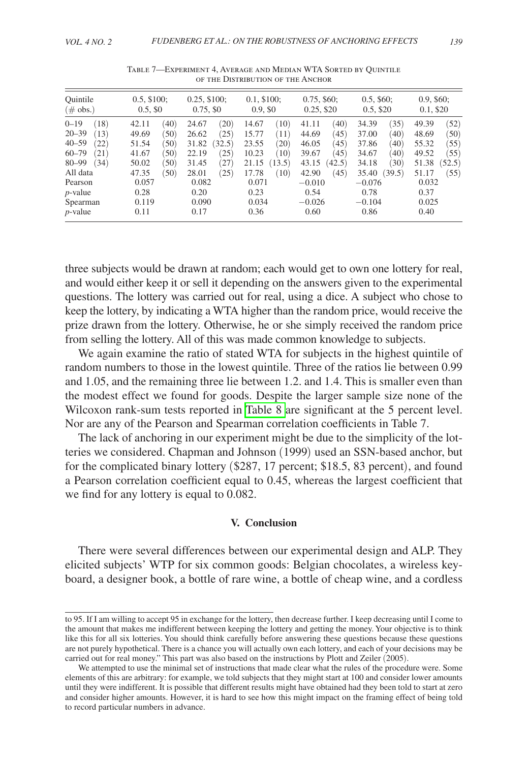<span id="page-8-0"></span>

| Ouintile                                                    | $0.5, \$100;$                                   | $0.25, \$100;$                                  | $0.1, \$100;$                                   | $0.75, \$60;$                                         | $0.5, \$60;$                                            | $0.9, \$60;$                                    |
|-------------------------------------------------------------|-------------------------------------------------|-------------------------------------------------|-------------------------------------------------|-------------------------------------------------------|---------------------------------------------------------|-------------------------------------------------|
| $(\text{\# obs.})$                                          | $0.5, \$0$                                      | $0.75, \$0$                                     | $0.9, \$0$                                      | 0.25, \$20                                            | $0.5, \$20$                                             | 0.1, \$20                                       |
| $0 - 19$                                                    | (40)                                            | (20)                                            | 14.67                                           | (40)                                                  | (35)                                                    | (52)                                            |
| (18)                                                        | 42.11                                           | 24.67                                           | (10)                                            | 41.11                                                 | 34.39                                                   | 49.39                                           |
| $20 - 39$                                                   | 49.69                                           | (25)                                            | 15.77                                           | 44.69                                                 | 37.00                                                   | 48.69                                           |
| (13)                                                        | (50)                                            | 26.62                                           | (11)                                            | (45)                                                  | (40)                                                    | (50)                                            |
| (22)                                                        | (50)                                            | (32.5)                                          | 23.55                                           | (45)                                                  | 37.86                                                   | (55)                                            |
| $40 - 59$                                                   | 51.54                                           | 31.82                                           | (20)                                            | 46.05                                                 | (40)                                                    | 55.32                                           |
| $60 - 79$                                                   | (50)                                            | (25)                                            | (10)                                            | (45)                                                  | (40)                                                    | 49.52                                           |
| (21)                                                        | 41.67                                           | 22.19                                           | 10.23                                           | 39.67                                                 | 34.67                                                   | (55)                                            |
| $80 - 99$                                                   | (50)                                            | (27)                                            | 21.15                                           | (42.5)                                                | (30)                                                    | 51.38                                           |
| (34)                                                        | 50.02                                           | 31.45                                           | (13.5)                                          | 43.15                                                 | 34.18                                                   | (52.5)                                          |
| All data<br>Pearson<br>$p$ -value<br>Spearman<br>$p$ -value | 47.35<br>(50)<br>0.057<br>0.28<br>0.119<br>0.11 | (25)<br>28.01<br>0.082<br>0.20<br>0.090<br>0.17 | (10)<br>17.78<br>0.071<br>0.23<br>0.034<br>0.36 | (45)<br>42.90<br>$-0.010$<br>0.54<br>$-0.026$<br>0.60 | (39.5)<br>35.40<br>$-0.076$<br>0.78<br>$-0.104$<br>0.86 | (55)<br>51.17<br>0.032<br>0.37<br>0.025<br>0.40 |

Table 7—Experiment 4, Average and Median WTA Sorted by Quintile of the Distribution of the Anchor

three subjects would be drawn at random; each would get to own one lottery for real, and would either keep it or sell it depending on the answers given to the experimental questions. The lottery was carried out for real, using a dice. A subject who chose to keep the lottery, by indicating a WTA higher than the random price, would receive the prize drawn from the lottery. Otherwise, he or she simply received the random price from selling the lottery. All of this was made common knowledge to subjects.

We again examine the ratio of stated WTA for subjects in the highest quintile of random numbers to those in the lowest quintile. Three of the ratios lie between 0.99 and 1.05, and the remaining three lie between 1.2. and 1.4. This is smaller even than the modest effect we found for goods. Despite the larger sample size none of the Wilcoxon rank-sum tests reported in [Table 8 a](#page-9-0)re significant at the 5 percent level. Nor are any of the Pearson and Spearman correlation coefficients in Table 7.

The lack of anchoring in our experiment might be due to the simplicity of the lotteries we considered. Chapman and Johnson (1999) used an SSN-based anchor, but for the complicated binary lottery (\$287, 17 percent; \$18.5, 83 percent), and found a Pearson correlation coefficient equal to 0.45, whereas the largest coefficient that we find for any lottery is equal to 0.082.

#### **V. Conclusion**

There were several differences between our experimental design and ALP. They elicited subjects' WTP for six common goods: Belgian chocolates, a wireless keyboard, a designer book, a bottle of rare wine, a bottle of cheap wine, and a cordless

to 95. If I am willing to accept 95 in exchange for the lottery, then decrease further. I keep decreasing until I come to the amount that makes me indifferent between keeping the lottery and getting the money. Your objective is to think like this for all six lotteries. You should think carefully before answering these questions because these questions are not purely hypothetical. There is a chance you will actually own each lottery, and each of your decisions may be carried out for real money." This part was also based on the instructions by Plott and Zeiler (2005).

We attempted to use the minimal set of instructions that made clear what the rules of the procedure were. Some elements of this are arbitrary: for example, we told subjects that they might start at 100 and consider lower amounts until they were indifferent. It is possible that different results might have obtained had they been told to start at zero and consider higher amounts. However, it is hard to see how this might impact on the framing effect of being told to record particular numbers in advance.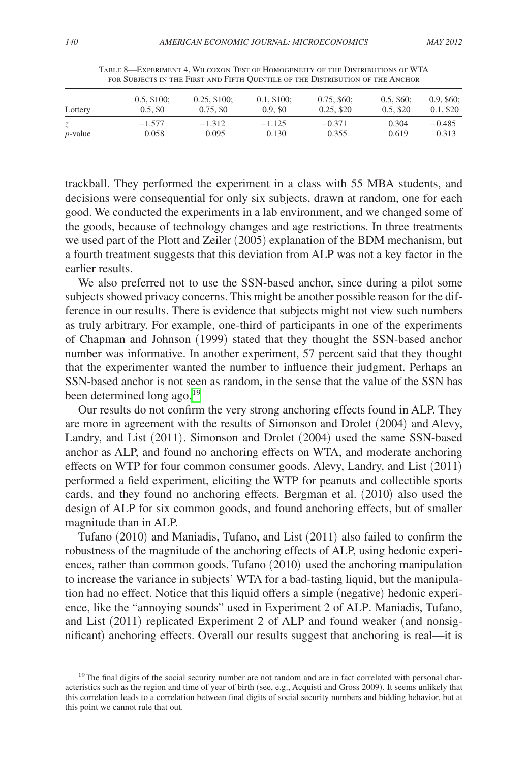<span id="page-9-0"></span>

| Lottery         | $0.5, \$100;$       | $0.25, \$100;$ | $0.1, \$100;$ | $0.75, \$60;$ | $0.5, \$60;$ | $0.9, \$60;$ |
|-----------------|---------------------|----------------|---------------|---------------|--------------|--------------|
|                 | 0.5, S <sub>0</sub> | $0.75, \$0$    | 0.9.50        | $0.25, \$20$  | $0.5, \$20$  | 0.1, \$20    |
| <i>p</i> -value | $-1.577$            | $-1.312$       | $-1.125$      | $-0.371$      | 0.304        | $-0.485$     |
|                 | 0.058               | 0.095          | 0.130         | 0.355         | 0.619        | 0.313        |

Table 8—Experiment 4, Wilcoxon Test of Homogeneity of the Distributions of WTA for Subjects in the First and Fifth Quintile of the Distribution of the Anchor

trackball. They performed the experiment in a class with 55 MBA students, and decisions were consequential for only six subjects, drawn at random, one for each good. We conducted the experiments in a lab environment, and we changed some of the goods, because of technology changes and age restrictions. In three treatments we used part of the Plott and Zeiler (2005) explanation of the BDM mechanism, but a fourth treatment suggests that this deviation from ALP was not a key factor in the earlier results.

We also preferred not to use the SSN-based anchor, since during a pilot some subjects showed privacy concerns. This might be another possible reason for the difference in our results. There is evidence that subjects might not view such numbers as truly arbitrary. For example, one-third of participants in one of the experiments of Chapman and Johnson (1999) stated that they thought the SSN-based anchor number was informative. In another experiment, 57 percent said that they thought that the experimenter wanted the number to influence their judgment. Perhaps an SSN-based anchor is not seen as random, in the sense that the value of the SSN has been determined long ago.<sup>[19](#page-9-1)</sup>

Our results do not confirm the very strong anchoring effects found in ALP. They are more in agreement with the results of Simonson and Drolet (2004) and Alevy, Landry, and List (2011). Simonson and Drolet (2004) used the same SSN-based anchor as ALP, and found no anchoring effects on WTA, and moderate anchoring effects on WTP for four common consumer goods. Alevy, Landry, and List (2011) performed a field experiment, eliciting the WTP for peanuts and collectible sports cards, and they found no anchoring effects. Bergman et al. (2010) also used the design of ALP for six common goods, and found anchoring effects, but of smaller magnitude than in ALP.

Tufano (2010) and Maniadis, Tufano, and List (2011) also failed to confirm the robustness of the magnitude of the anchoring effects of ALP, using hedonic experiences, rather than common goods. Tufano (2010) used the anchoring manipulation to increase the variance in subjects' WTA for a bad-tasting liquid, but the manipulation had no effect. Notice that this liquid offers a simple (negative) hedonic experience, like the "annoying sounds" used in Experiment 2 of ALP. Maniadis, Tufano, and List (2011) replicated Experiment 2 of ALP and found weaker (and nonsignificant) anchoring effects. Overall our results suggest that anchoring is real—it is

<span id="page-9-1"></span><sup>&</sup>lt;sup>19</sup>The final digits of the social security number are not random and are in fact correlated with personal characteristics such as the region and time of year of birth (see, e.g., Acquisti and Gross 2009). It seems unlikely that this correlation leads to a correlation between final digits of social security numbers and bidding behavior, but at this point we cannot rule that out.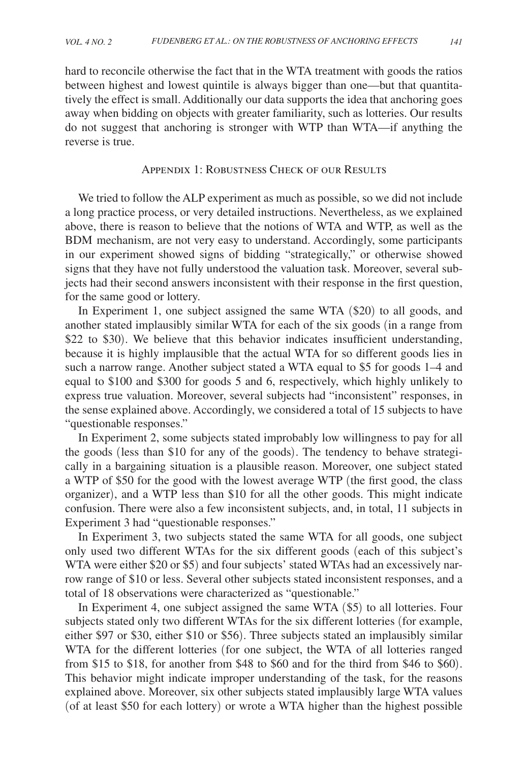<span id="page-10-0"></span>hard to reconcile otherwise the fact that in the WTA treatment with goods the ratios between highest and lowest quintile is always bigger than one—but that quantitatively the effect is small. Additionally our data supports the idea that anchoring goes away when bidding on objects with greater familiarity, such as lotteries. Our results do not suggest that anchoring is stronger with WTP than WTA—if anything the reverse is true.

## Appendix 1: Robustness Check of our Results

We tried to follow the ALP experiment as much as possible, so we did not include a long practice process, or very detailed instructions. Nevertheless, as we explained above, there is reason to believe that the notions of WTA and WTP, as well as the BDM mechanism, are not very easy to understand. Accordingly, some participants in our experiment showed signs of bidding "strategically," or otherwise showed signs that they have not fully understood the valuation task. Moreover, several subjects had their second answers inconsistent with their response in the first question, for the same good or lottery.

In Experiment 1, one subject assigned the same WTA (\$20) to all goods, and another stated implausibly similar WTA for each of the six goods (in a range from \$22 to \$30). We believe that this behavior indicates insufficient understanding, because it is highly implausible that the actual WTA for so different goods lies in such a narrow range. Another subject stated a WTA equal to \$5 for goods 1–4 and equal to \$100 and \$300 for goods 5 and 6, respectively, which highly unlikely to express true valuation. Moreover, several subjects had "inconsistent" responses, in the sense explained above. Accordingly, we considered a total of 15 subjects to have "questionable responses."

In Experiment 2, some subjects stated improbably low willingness to pay for all the goods (less than \$10 for any of the goods). The tendency to behave strategically in a bargaining situation is a plausible reason. Moreover, one subject stated a WTP of \$50 for the good with the lowest average WTP (the first good, the class organizer), and a WTP less than \$10 for all the other goods. This might indicate confusion. There were also a few inconsistent subjects, and, in total, 11 subjects in Experiment 3 had "questionable responses."

In Experiment 3, two subjects stated the same WTA for all goods, one subject only used two different WTAs for the six different goods (each of this subject's WTA were either \$20 or \$5) and four subjects' stated WTAs had an excessively narrow range of \$10 or less. Several other subjects stated inconsistent responses, and a total of 18 observations were characterized as "questionable."

In Experiment 4, one subject assigned the same WTA (\$5) to all lotteries. Four subjects stated only two different WTAs for the six different lotteries (for example, either \$97 or \$30, either \$10 or \$56). Three subjects stated an implausibly similar WTA for the different lotteries (for one subject, the WTA of all lotteries ranged from \$15 to \$18, for another from \$48 to \$60 and for the third from \$46 to \$60). This behavior might indicate improper understanding of the task, for the reasons explained above. Moreover, six other subjects stated implausibly large WTA values (of at least \$50 for each lottery) or wrote a WTA higher than the highest possible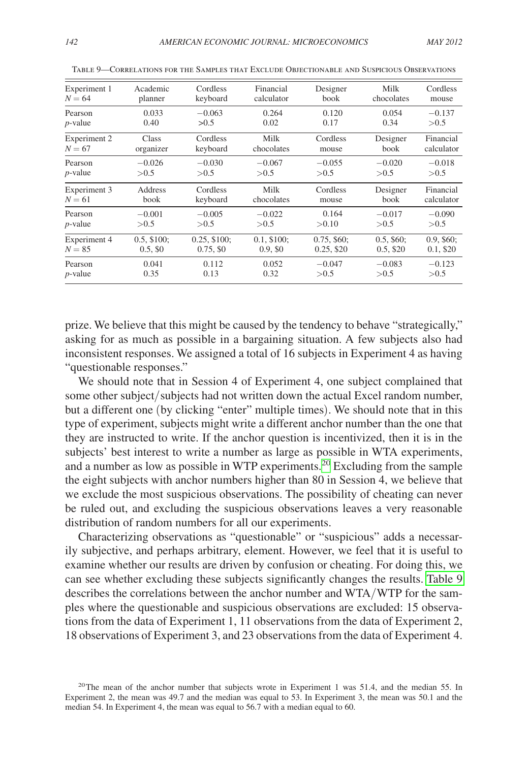| Experiment 1 | Academic      | Cordless       | Financial     | Designer      | Milk         | Cordless     |
|--------------|---------------|----------------|---------------|---------------|--------------|--------------|
| $N = 64$     | planner       | keyboard       | calculator    | book          | chocolates   | mouse        |
| Pearson      | 0.033         | $-0.063$       | 0.264         | 0.120         | 0.054        | $-0.137$     |
| $p$ -value   | 0.40          | >0.5           | 0.02          | 0.17          | 0.34         | > 0.5        |
| Experiment 2 | Class         | Cordless       | Milk          | Cordless      | Designer     | Financial    |
| $N = 67$     | organizer     | keyboard       | chocolates    | mouse         | book         | calculator   |
| Pearson      | $-0.026$      | $-0.030$       | $-0.067$      | $-0.055$      | $-0.020$     | $-0.018$     |
| $p$ -value   | > 0.5         | > 0.5          | > 0.5         | > 0.5         | > 0.5        | > 0.5        |
| Experiment 3 | Address       | Cordless       | Milk          | Cordless      | Designer     | Financial    |
| $N = 61$     | book          | keyboard       | chocolates    | mouse         | book         | calculator   |
| Pearson      | $-0.001$      | $-0.005$       | $-0.022$      | 0.164         | $-0.017$     | $-0.090$     |
| $p$ -value   | > 0.5         | > 0.5          | > 0.5         | >0.10         | > 0.5        | > 0.5        |
| Experiment 4 | $0.5, \$100;$ | $0.25, \$100;$ | $0.1, \$100;$ | $0.75, \$60;$ | $0.5, \$60;$ | $0.9, \$60;$ |
| $N = 85$     | 0.5, S0       | $0.75, \$0$    | $0.9, S_0$    | $0.25, \$20$  | $0.5, \$20$  | $0.1,$ \$20  |
| Pearson      | 0.041         | 0.112          | 0.052         | $-0.047$      | $-0.083$     | $-0.123$     |
| $p$ -value   | 0.35          | 0.13           | 0.32          | > 0.5         | >0.5         | >0.5         |

Table 9—Correlations for the Samples that Exclude Objectionable and Suspicious Observations

prize. We believe that this might be caused by the tendency to behave "strategically," asking for as much as possible in a bargaining situation. A few subjects also had inconsistent responses. We assigned a total of 16 subjects in Experiment 4 as having "questionable responses."

We should note that in Session 4 of Experiment 4, one subject complained that some other subject/subjects had not written down the actual Excel random number, but a different one (by clicking "enter" multiple times). We should note that in this type of experiment, subjects might write a different anchor number than the one that they are instructed to write. If the anchor question is incentivized, then it is in the subjects' best interest to write a number as large as possible in WTA experiments, and a number as low as possible in WTP experiments.[20](#page-11-0) Excluding from the sample the eight subjects with anchor numbers higher than 80 in Session 4, we believe that we exclude the most suspicious observations. The possibility of cheating can never be ruled out, and excluding the suspicious observations leaves a very reasonable distribution of random numbers for all our experiments.

Characterizing observations as "questionable" or "suspicious" adds a necessarily subjective, and perhaps arbitrary, element. However, we feel that it is useful to examine whether our results are driven by confusion or cheating. For doing this, we can see whether excluding these subjects significantly changes the results. Table 9 describes the correlations between the anchor number and WTA/WTP for the samples where the questionable and suspicious observations are excluded: 15 observations from the data of Experiment 1, 11 observations from the data of Experiment 2, 18 observations of Experiment 3, and 23 observations from the data of Experiment 4.

<span id="page-11-0"></span><sup>&</sup>lt;sup>20</sup>The mean of the anchor number that subjects wrote in Experiment 1 was 51.4, and the median 55. In Experiment 2, the mean was 49.7 and the median was equal to 53. In Experiment 3, the mean was 50.1 and the median 54. In Experiment 4, the mean was equal to 56.7 with a median equal to 60.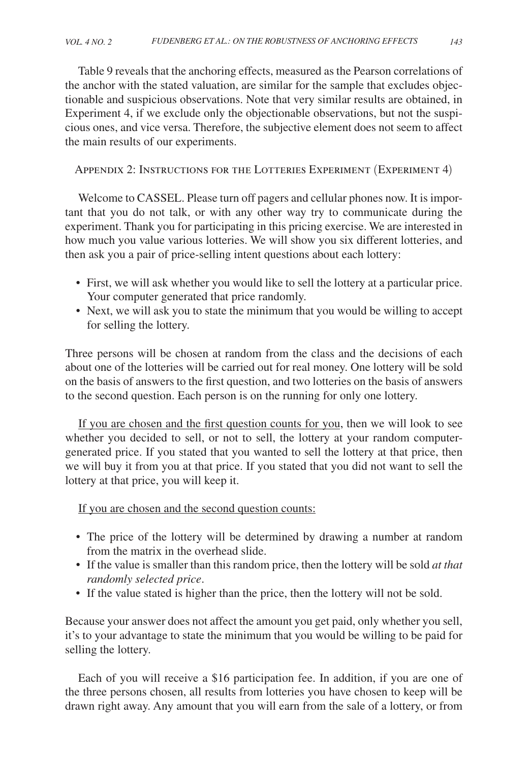<span id="page-12-0"></span>Table 9 reveals that the anchoring effects, measured as the Pearson correlations of the anchor with the stated valuation, are similar for the sample that excludes objectionable and suspicious observations. Note that very similar results are obtained, in Experiment 4, if we exclude only the objectionable observations, but not the suspicious ones, and vice versa. Therefore, the subjective element does not seem to affect the main results of our experiments.

Appendix 2: Instructions for the Lotteries Experiment (Experiment 4)

Welcome to CASSEL. Please turn off pagers and cellular phones now. It is important that you do not talk, or with any other way try to communicate during the experiment. Thank you for participating in this pricing exercise. We are interested in how much you value various lotteries. We will show you six different lotteries, and then ask you a pair of price-selling intent questions about each lottery:

- • First, we will ask whether you would like to sell the lottery at a particular price. Your computer generated that price randomly.
- Next, we will ask you to state the minimum that you would be willing to accept for selling the lottery.

Three persons will be chosen at random from the class and the decisions of each about one of the lotteries will be carried out for real money. One lottery will be sold on the basis of answers to the first question, and two lotteries on the basis of answers to the second question. Each person is on the running for only one lottery.

If you are chosen and the first question counts for you, then we will look to see whether you decided to sell, or not to sell, the lottery at your random computergenerated price. If you stated that you wanted to sell the lottery at that price, then we will buy it from you at that price. If you stated that you did not want to sell the lottery at that price, you will keep it.

If you are chosen and the second question counts:

- The price of the lottery will be determined by drawing a number at random from the matrix in the overhead slide.
- • If the value is smaller than this random price, then the lottery will be sold *at that randomly selected price*.
- If the value stated is higher than the price, then the lottery will not be sold.

Because your answer does not affect the amount you get paid, only whether you sell, it's to your advantage to state the minimum that you would be willing to be paid for selling the lottery.

Each of you will receive a \$16 participation fee. In addition, if you are one of the three persons chosen, all results from lotteries you have chosen to keep will be drawn right away. Any amount that you will earn from the sale of a lottery, or from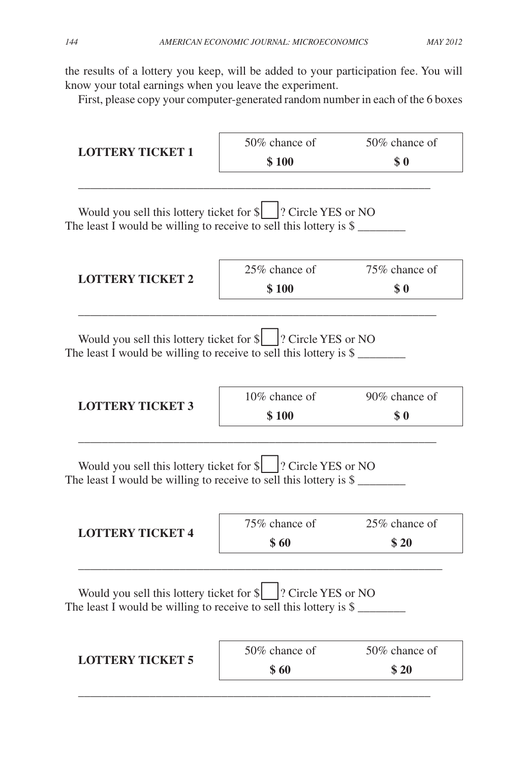the results of a lottery you keep, will be added to your participation fee. You will know your total earnings when you leave the experiment.

First, please copy your computer-generated random number in each of the 6 boxes

| <b>LOTTERY TICKET 1</b>                                                                                                                                 | 50% chance of             | 50% chance of         |
|---------------------------------------------------------------------------------------------------------------------------------------------------------|---------------------------|-----------------------|
|                                                                                                                                                         | \$100                     | \$0                   |
| Would you sell this lottery ticket for \$   ? Circle YES or NO<br>The least I would be willing to receive to sell this lottery is $\mathcal{S}$ _______ |                           |                       |
| <b>LOTTERY TICKET 2</b>                                                                                                                                 | $25\%$ chance of<br>\$100 | 75\% chance of<br>\$0 |
| Would you sell this lottery ticket for $\ \cdot\ $ ? Circle YES or NO<br>The least I would be willing to receive to sell this lottery is $\frac{1}{2}$  |                           |                       |
| <b>LOTTERY TICKET 3</b>                                                                                                                                 | 10% chance of<br>\$100    | 90% chance of<br>\$0  |
|                                                                                                                                                         |                           |                       |
| Would you sell this lottery ticket for \$    ? Circle YES or NO<br>The least I would be willing to receive to sell this lottery is $\frac{1}{2}$        |                           |                       |
| <b>LOTTERY TICKET 4</b>                                                                                                                                 | 75% chance of<br>\$60     | 25% chance of<br>\$20 |
| Would you sell this lottery ticket for \$   ? Circle YES or NO<br>The least I would be willing to receive to sell this lottery is $\$$                  |                           |                       |